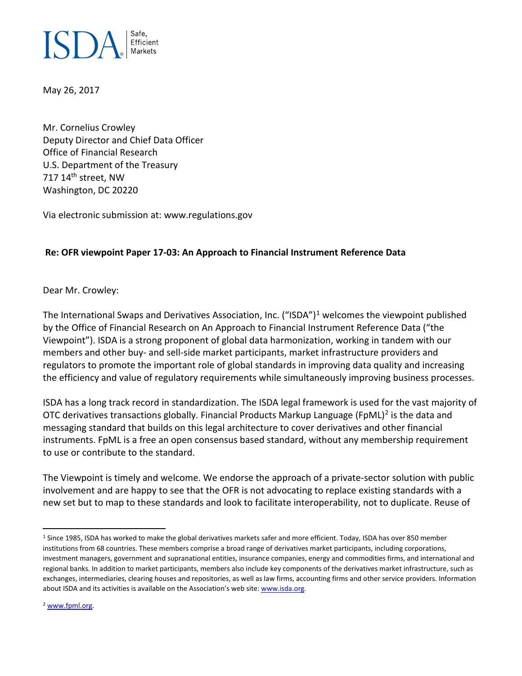

May 26, 2017

Mr. Cornelius Crowley Deputy Director and Chief Data Officer Office of Financial Research U.S. Department of the Treasury 717 14<sup>th</sup> street, NW Washington, DC 20220

Via electronic submission at: www.regulations.gov

## **Re: OFR viewpoint Paper 17-03: An Approach to Financial Instrument Reference Data**

Dear Mr. Crowley:

The International Swaps and Derivatives Association, Inc. ("ISDA")<sup>[1](#page-0-0)</sup> welcomes the viewpoint published by the Office of Financial Research on An Approach to Financial Instrument Reference Data ("the Viewpoint"). ISDA is a strong proponent of global data harmonization, working in tandem with our members and other buy- and sell-side market participants, market infrastructure providers and regulators to promote the important role of global standards in improving data quality and increasing the efficiency and value of regulatory requirements while simultaneously improving business processes.

ISDA has a long track record in standardization. The ISDA legal framework is used for the vast majority of OTC derivatives transactions globally. Financial Products Markup Language (FpML)<sup>[2](#page-0-1)</sup> is the data and messaging standard that builds on this legal architecture to cover derivatives and other financial instruments. FpML is a free an open consensus based standard, without any membership requirement to use or contribute to the standard.

The Viewpoint is timely and welcome. We endorse the approach of a private-sector solution with public involvement and are happy to see that the OFR is not advocating to replace existing standards with a new set but to map to these standards and look to facilitate interoperability, not to duplicate. Reuse of

<span id="page-0-0"></span><sup>&</sup>lt;sup>1</sup> Since 1985, ISDA has worked to make the global derivatives markets safer and more efficient. Today, ISDA has over 850 member institutions from 68 countries. These members comprise a broad range of derivatives market participants, including corporations, investment managers, government and supranational entities, insurance companies, energy and commodities firms, and international and regional banks. In addition to market participants, members also include key components of the derivatives market infrastructure, such as exchanges, intermediaries, clearing houses and repositories, as well as law firms, accounting firms and other service providers. Information about ISDA and its activities is available on the Association's web site: [www.isda.org.](http://www.isda.org/)

<span id="page-0-1"></span><sup>2</sup> [www.fpml.org.](http://www.fpml.org/)